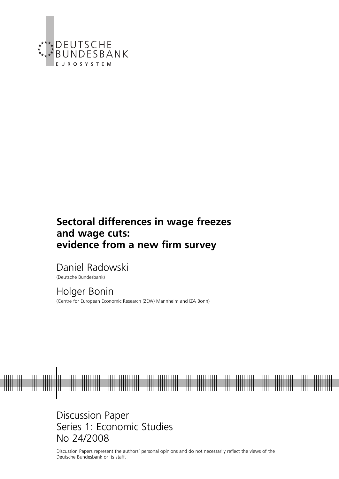

# **Sectoral differences in wage freezes and wage cuts: evidence from a new firm survey**

Daniel Radowski

(Deutsche Bundesbank)

Holger Bonin (Centre for European Economic Research (ZEW) Mannheim and IZA Bonn)

Discussion Paper Series 1: Economic Studies No 24/2008

Discussion Papers represent the authors' personal opinions and do not necessarily reflect the views of the Deutsche Bundesbank or its staff.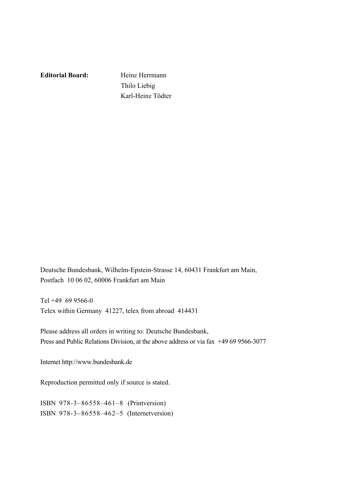**Editorial Board:** Heinz Herrmann

 Thilo Liebig Karl-Heinz Tödter

Deutsche Bundesbank, Wilhelm-Epstein-Strasse 14, 60431 Frankfurt am Main, Postfach 10 06 02, 60006 Frankfurt am Main

Tel +49 69 9566-0 Telex within Germany 41227, telex from abroad 414431

Please address all orders in writing to: Deutsche Bundesbank, Press and Public Relations Division, at the above address or via fax +49 69 9566-3077

Internet http://www.bundesbank.de

Reproduction permitted only if source is stated.

ISBN 978-3–86558–461–8 (Printversion) ISBN 978-3–86558–462–5 (Internetversion)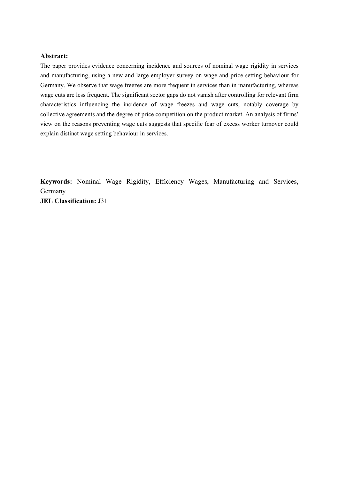#### **Abstract:**

The paper provides evidence concerning incidence and sources of nominal wage rigidity in services and manufacturing, using a new and large employer survey on wage and price setting behaviour for Germany. We observe that wage freezes are more frequent in services than in manufacturing, whereas wage cuts are less frequent. The significant sector gaps do not vanish after controlling for relevant firm characteristics influencing the incidence of wage freezes and wage cuts, notably coverage by collective agreements and the degree of price competition on the product market. An analysis of firms' view on the reasons preventing wage cuts suggests that specific fear of excess worker turnover could explain distinct wage setting behaviour in services.

**Keywords:** Nominal Wage Rigidity, Efficiency Wages, Manufacturing and Services, Germany **JEL Classification:** J31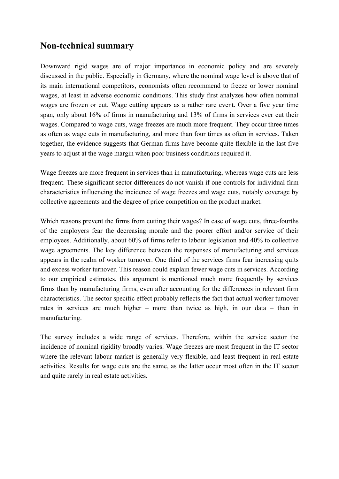# **Non-technical summary**

Downward rigid wages are of major importance in economic policy and are severely discussed in the public. Especially in Germany, where the nominal wage level is above that of its main international competitors, economists often recommend to freeze or lower nominal wages, at least in adverse economic conditions. This study first analyzes how often nominal wages are frozen or cut. Wage cutting appears as a rather rare event. Over a five year time span, only about 16% of firms in manufacturing and 13% of firms in services ever cut their wages. Compared to wage cuts, wage freezes are much more frequent. They occur three times as often as wage cuts in manufacturing, and more than four times as often in services. Taken together, the evidence suggests that German firms have become quite flexible in the last five years to adjust at the wage margin when poor business conditions required it.

Wage freezes are more frequent in services than in manufacturing, whereas wage cuts are less frequent. These significant sector differences do not vanish if one controls for individual firm characteristics influencing the incidence of wage freezes and wage cuts, notably coverage by collective agreements and the degree of price competition on the product market.

Which reasons prevent the firms from cutting their wages? In case of wage cuts, three-fourths of the employers fear the decreasing morale and the poorer effort and/or service of their employees. Additionally, about 60% of firms refer to labour legislation and 40% to collective wage agreements. The key difference between the responses of manufacturing and services appears in the realm of worker turnover. One third of the services firms fear increasing quits and excess worker turnover. This reason could explain fewer wage cuts in services. According to our empirical estimates, this argument is mentioned much more frequently by services firms than by manufacturing firms, even after accounting for the differences in relevant firm characteristics. The sector specific effect probably reflects the fact that actual worker turnover rates in services are much higher – more than twice as high, in our data – than in manufacturing.

The survey includes a wide range of services. Therefore, within the service sector the incidence of nominal rigidity broadly varies. Wage freezes are most frequent in the IT sector where the relevant labour market is generally very flexible, and least frequent in real estate activities. Results for wage cuts are the same, as the latter occur most often in the IT sector and quite rarely in real estate activities.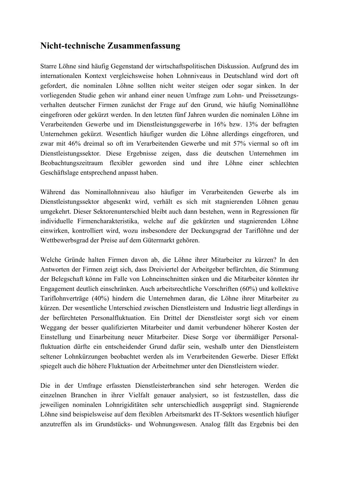# **Nicht-technische Zusammenfassung**

Starre Löhne sind häufig Gegenstand der wirtschaftspolitischen Diskussion. Aufgrund des im internationalen Kontext vergleichsweise hohen Lohnniveaus in Deutschland wird dort oft gefordert, die nominalen Löhne sollten nicht weiter steigen oder sogar sinken. In der vorliegenden Studie gehen wir anhand einer neuen Umfrage zum Lohn- und Preissetzungsverhalten deutscher Firmen zunächst der Frage auf den Grund, wie häufig Nominallöhne eingefroren oder gekürzt werden. In den letzten fünf Jahren wurden die nominalen Löhne im Verarbeitenden Gewerbe und im Dienstleistungsgewerbe in 16% bzw. 13% der befragten Unternehmen gekürzt. Wesentlich häufiger wurden die Löhne allerdings eingefroren, und zwar mit 46% dreimal so oft im Verarbeitenden Gewerbe und mit 57% viermal so oft im Dienstleistungssektor. Diese Ergebnisse zeigen, dass die deutschen Unternehmen im Beobachtungszeitraum flexibler geworden sind und ihre Löhne einer schlechten Geschäftslage entsprechend anpasst haben.

Während das Nominallohnniveau also häufiger im Verarbeitenden Gewerbe als im Dienstleistungssektor abgesenkt wird, verhält es sich mit stagnierenden Löhnen genau umgekehrt. Dieser Sektorenunterschied bleibt auch dann bestehen, wenn in Regressionen für individuelle Firmencharakteristika, welche auf die gekürzten und stagnierenden Löhne einwirken, kontrolliert wird, wozu insbesondere der Deckungsgrad der Tariflöhne und der Wettbewerbsgrad der Preise auf dem Gütermarkt gehören.

Welche Gründe halten Firmen davon ab, die Löhne ihrer Mitarbeiter zu kürzen? In den Antworten der Firmen zeigt sich, dass Dreiviertel der Arbeitgeber befürchten, die Stimmung der Belegschaft könne im Falle von Lohneinschnitten sinken und die Mitarbeiter könnten ihr Engagement deutlich einschränken. Auch arbeitsrechtliche Vorschriften (60%) und kollektive Tariflohnverträge (40%) hindern die Unternehmen daran, die Löhne ihrer Mitarbeiter zu kürzen. Der wesentliche Unterschied zwischen Dienstleistern und Industrie liegt allerdings in der befürchteten Personalfluktuation. Ein Drittel der Dienstleister sorgt sich vor einem Weggang der besser qualifizierten Mitarbeiter und damit verbundener höherer Kosten der Einstellung und Einarbeitung neuer Mitarbeiter. Diese Sorge vor übermäßiger Personalfluktuation dürfte ein entscheidender Grund dafür sein, weshalb unter den Dienstleistern seltener Lohnkürzungen beobachtet werden als im Verarbeitenden Gewerbe. Dieser Effekt spiegelt auch die höhere Fluktuation der Arbeitnehmer unter den Dienstleistern wieder.

Die in der Umfrage erfassten Dienstleisterbranchen sind sehr heterogen. Werden die einzelnen Branchen in ihrer Vielfalt genauer analysiert, so ist festzustellen, dass die jeweiligen nominalen Lohnrigiditäten sehr unterschiedlich ausgeprägt sind. Stagnierende Löhne sind beispielsweise auf dem flexiblen Arbeitsmarkt des IT-Sektors wesentlich häufiger anzutreffen als im Grundstücks- und Wohnungswesen. Analog fällt das Ergebnis bei den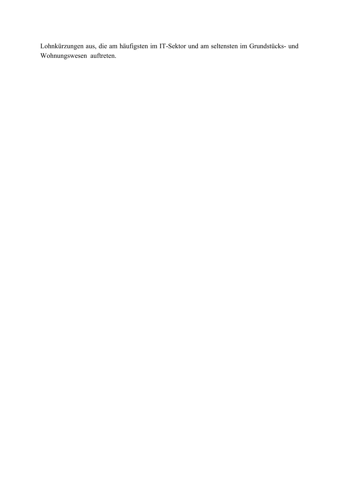Lohnkürzungen aus, die am häufigsten im IT-Sektor und am seltensten im Grundstücks- und Wohnungswesen auftreten.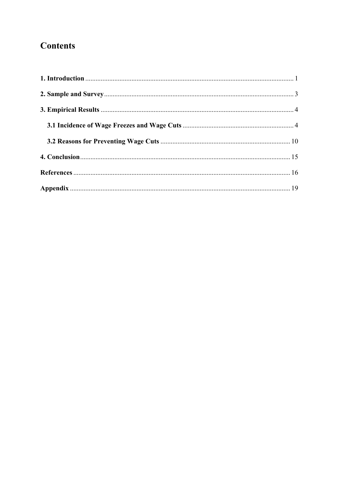# **Contents**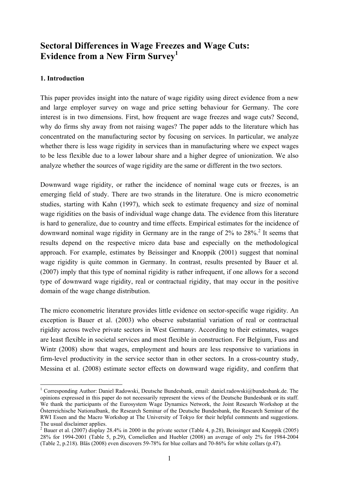# **Sectoral Differences in Wage Freezes and Wage Cuts: Evidence from a New Firm Survey1**

### **1. Introduction**

This paper provides insight into the nature of wage rigidity using direct evidence from a new and large employer survey on wage and price setting behaviour for Germany. The core interest is in two dimensions. First, how frequent are wage freezes and wage cuts? Second, why do firms shy away from not raising wages? The paper adds to the literature which has concentrated on the manufacturing sector by focusing on services. In particular, we analyze whether there is less wage rigidity in services than in manufacturing where we expect wages to be less flexible due to a lower labour share and a higher degree of unionization. We also analyze whether the sources of wage rigidity are the same or different in the two sectors.

Downward wage rigidity, or rather the incidence of nominal wage cuts or freezes, is an emerging field of study. There are two strands in the literature. One is micro econometric studies, starting with Kahn (1997), which seek to estimate frequency and size of nominal wage rigidities on the basis of individual wage change data. The evidence from this literature is hard to generalize, due to country and time effects. Empirical estimates for the incidence of downward nominal wage rigidity in Germany are in the range of  $2\%$  to  $28\%$ .<sup>2</sup> It seems that results depend on the respective micro data base and especially on the methodological approach. For example, estimates by Beissinger and Knoppik (2001) suggest that nominal wage rigidity is quite common in Germany. In contrast, results presented by Bauer et al. (2007) imply that this type of nominal rigidity is rather infrequent, if one allows for a second type of downward wage rigidity, real or contractual rigidity, that may occur in the positive domain of the wage change distribution.

The micro econometric literature provides little evidence on sector-specific wage rigidity. An exception is Bauer et al. (2003) who observe substantial variation of real or contractual rigidity across twelve private sectors in West Germany. According to their estimates, wages are least flexible in societal services and most flexible in construction. For Belgium, Fuss and Wintr (2008) show that wages, employment and hours are less responsive to variations in firm-level productivity in the service sector than in other sectors. In a cross-country study, Messina et al. (2008) estimate sector effects on downward wage rigidity, and confirm that

<sup>1</sup> <sup>1</sup> Corresponding Author: Daniel Radowski, Deutsche Bundesbank, email: daniel.radowski@bundesbank.de. The opinions expressed in this paper do not necessarily represent the views of the Deutsche Bundesbank or its staff. We thank the participants of the Eurosystem Wage Dynamics Network, the Joint Research Workshop at the Österreichische Nationalbank, the Research Seminar of the Deutsche Bundesbank, the Research Seminar of the RWI Essen and the Macro Workshop at The University of Tokyo for their helpful comments and suggestions. The usual disclaimer applies.

<sup>&</sup>lt;sup>2</sup> Bauer et al. (2007) display 28.4% in 2000 in the private sector (Table 4, p.28), Beissinger and Knoppik (2005) 28% for 1994-2001 (Table 5, p.29), Corneließen and Huebler (2008) an average of only 2% for 1984-2004 (Table 2, p.218). Bläs (2008) even discovers 59-78% for blue collars and 70-86% for white collars (p.47).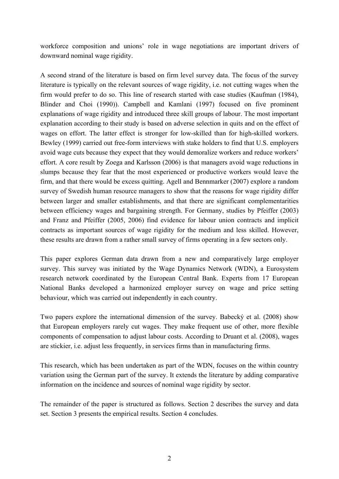workforce composition and unions' role in wage negotiations are important drivers of downward nominal wage rigidity.

A second strand of the literature is based on firm level survey data. The focus of the survey literature is typically on the relevant sources of wage rigidity, i.e. not cutting wages when the firm would prefer to do so. This line of research started with case studies (Kaufman (1984), Blinder and Choi (1990)). Campbell and Kamlani (1997) focused on five prominent explanations of wage rigidity and introduced three skill groups of labour. The most important explanation according to their study is based on adverse selection in quits and on the effect of wages on effort. The latter effect is stronger for low-skilled than for high-skilled workers. Bewley (1999) carried out free-form interviews with stake holders to find that U.S. employers avoid wage cuts because they expect that they would demoralize workers and reduce workers' effort. A core result by Zoega and Karlsson (2006) is that managers avoid wage reductions in slumps because they fear that the most experienced or productive workers would leave the firm, and that there would be excess quitting. Agell and Bennmarker (2007) explore a random survey of Swedish human resource managers to show that the reasons for wage rigidity differ between larger and smaller establishments, and that there are significant complementarities between efficiency wages and bargaining strength. For Germany, studies by Pfeiffer (2003) and Franz and Pfeiffer (2005, 2006) find evidence for labour union contracts and implicit contracts as important sources of wage rigidity for the medium and less skilled. However, these results are drawn from a rather small survey of firms operating in a few sectors only.

This paper explores German data drawn from a new and comparatively large employer survey. This survey was initiated by the Wage Dynamics Network (WDN), a Eurosystem research network coordinated by the European Central Bank. Experts from 17 European National Banks developed a harmonized employer survey on wage and price setting behaviour, which was carried out independently in each country.

Two papers explore the international dimension of the survey. Babecký et al. (2008) show that European employers rarely cut wages. They make frequent use of other, more flexible components of compensation to adjust labour costs. According to Druant et al. (2008), wages are stickier, i.e. adjust less frequently, in services firms than in manufacturing firms.

This research, which has been undertaken as part of the WDN, focuses on the within country variation using the German part of the survey. It extends the literature by adding comparative information on the incidence and sources of nominal wage rigidity by sector.

The remainder of the paper is structured as follows. Section 2 describes the survey and data set. Section 3 presents the empirical results. Section 4 concludes.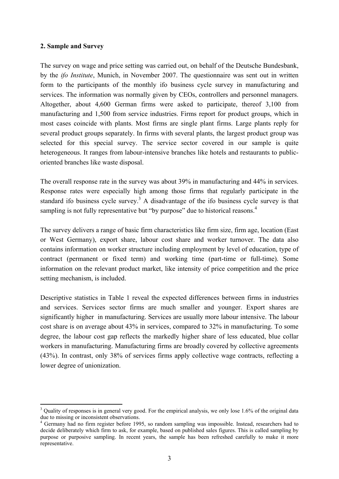#### **2. Sample and Survey**

The survey on wage and price setting was carried out, on behalf of the Deutsche Bundesbank, by the *ifo Institute*, Munich, in November 2007. The questionnaire was sent out in written form to the participants of the monthly ifo business cycle survey in manufacturing and services. The information was normally given by CEOs, controllers and personnel managers. Altogether, about 4,600 German firms were asked to participate, thereof 3,100 from manufacturing and 1,500 from service industries. Firms report for product groups, which in most cases coincide with plants. Most firms are single plant firms. Large plants reply for several product groups separately. In firms with several plants, the largest product group was selected for this special survey. The service sector covered in our sample is quite heterogeneous. It ranges from labour-intensive branches like hotels and restaurants to publicoriented branches like waste disposal.

The overall response rate in the survey was about 39% in manufacturing and 44% in services. Response rates were especially high among those firms that regularly participate in the standard ifo business cycle survey.<sup>3</sup> A disadvantage of the ifo business cycle survey is that sampling is not fully representative but "by purpose" due to historical reasons.<sup>4</sup>

The survey delivers a range of basic firm characteristics like firm size, firm age, location (East or West Germany), export share, labour cost share and worker turnover. The data also contains information on worker structure including employment by level of education, type of contract (permanent or fixed term) and working time (part-time or full-time). Some information on the relevant product market, like intensity of price competition and the price setting mechanism, is included.

Descriptive statistics in Table 1 reveal the expected differences between firms in industries and services. Services sector firms are much smaller and younger. Export shares are significantly higher in manufacturing. Services are usually more labour intensive. The labour cost share is on average about 43% in services, compared to 32% in manufacturing. To some degree, the labour cost gap reflects the markedly higher share of less educated, blue collar workers in manufacturing. Manufacturing firms are broadly covered by collective agreements (43%). In contrast, only 38% of services firms apply collective wage contracts, reflecting a lower degree of unionization.

<sup>1</sup>  $3$  Quality of responses is in general very good. For the empirical analysis, we only lose 1.6% of the original data due to missing or inconsistent observations.

<sup>&</sup>lt;sup>4</sup> Germany had no firm register before 1995, so random sampling was impossible. Instead, researchers had to decide deliberately which firm to ask, for example, based on published sales figures. This is called sampling by purpose or purposive sampling. In recent years, the sample has been refreshed carefully to make it more representative.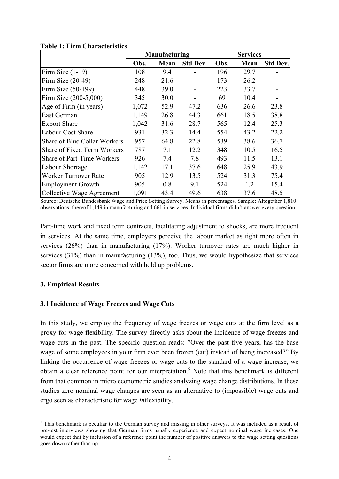|                                     | Manufacturing |      |          | <b>Services</b> |      |          |
|-------------------------------------|---------------|------|----------|-----------------|------|----------|
|                                     | Obs.          | Mean | Std.Dev. | Obs.            | Mean | Std.Dev. |
| Firm Size $(1-19)$                  | 108           | 9.4  |          | 196             | 29.7 |          |
| Firm Size $(20-49)$                 | 248           | 21.6 |          | 173             | 26.2 |          |
| Firm Size (50-199)                  | 448           | 39.0 |          | 223             | 33.7 |          |
| Firm Size (200-5,000)               | 345           | 30.0 |          | 69              | 10.4 |          |
| Age of Firm (in years)              | 1,072         | 52.9 | 47.2     | 636             | 26.6 | 23.8     |
| East German                         | 1,149         | 26.8 | 44.3     | 661             | 18.5 | 38.8     |
| <b>Export Share</b>                 | 1,042         | 31.6 | 28.7     | 565             | 12.4 | 25.3     |
| <b>Labour Cost Share</b>            | 931           | 32.3 | 14.4     | 554             | 43.2 | 22.2     |
| <b>Share of Blue Collar Workers</b> | 957           | 64.8 | 22.8     | 539             | 38.6 | 36.7     |
| <b>Share of Fixed Term Workers</b>  | 787           | 7.1  | 12.2     | 348             | 10.5 | 16.5     |
| Share of Part-Time Workers          | 926           | 7.4  | 7.8      | 493             | 11.5 | 13.1     |
| Labour Shortage                     | 1,142         | 17.1 | 37.6     | 648             | 25.9 | 43.9     |
| Worker Turnover Rate                | 905           | 12.9 | 13.5     | 524             | 31.3 | 75.4     |
| <b>Employment Growth</b>            | 905           | 0.8  | 9.1      | 524             | 1.2  | 15.4     |
| Collective Wage Agreement           | 1,091         | 43.4 | 49.6     | 638             | 37.6 | 48.5     |

**Table 1: Firm Characteristics** 

Source: Deutsche Bundesbank Wage and Price Setting Survey. Means in percentages. Sample: Altogether 1,810 observations, thereof 1,149 in manufacturing and 661 in services. Individual firms didn't answer every question.

Part-time work and fixed term contracts, facilitating adjustment to shocks, are more frequent in services. At the same time, employers perceive the labour market as tight more often in services (26%) than in manufacturing (17%). Worker turnover rates are much higher in services (31%) than in manufacturing (13%), too. Thus, we would hypothesize that services sector firms are more concerned with hold up problems.

#### **3. Empirical Results**

1

#### **3.1 Incidence of Wage Freezes and Wage Cuts**

In this study, we employ the frequency of wage freezes or wage cuts at the firm level as a proxy for wage flexibility. The survey directly asks about the incidence of wage freezes and wage cuts in the past. The specific question reads: "Over the past five years, has the base wage of some employees in your firm ever been frozen (cut) instead of being increased?" By linking the occurrence of wage freezes or wage cuts to the standard of a wage increase, we obtain a clear reference point for our interpretation.<sup>5</sup> Note that this benchmark is different from that common in micro econometric studies analyzing wage change distributions. In these studies zero nominal wage changes are seen as an alternative to (impossible) wage cuts and ergo seen as characteristic for wage *in*flexibility.

<sup>&</sup>lt;sup>5</sup> This benchmark is peculiar to the German survey and missing in other surveys. It was included as a result of pre-test interviews showing that German firms usually experience and expect nominal wage increases. One would expect that by inclusion of a reference point the number of positive answers to the wage setting questions goes down rather than up.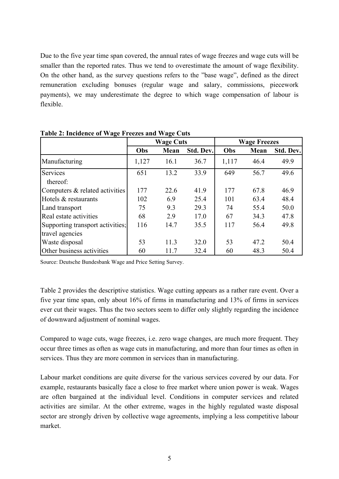Due to the five year time span covered, the annual rates of wage freezes and wage cuts will be smaller than the reported rates. Thus we tend to overestimate the amount of wage flexibility. On the other hand, as the survey questions refers to the "base wage", defined as the direct remuneration excluding bonuses (regular wage and salary, commissions, piecework payments), we may underestimate the degree to which wage compensation of labour is flexible.

|                                  | <b>Wage Cuts</b> |      |           | <b>Wage Freezes</b> |      |           |
|----------------------------------|------------------|------|-----------|---------------------|------|-----------|
|                                  | Obs              | Mean | Std. Dev. | Obs                 | Mean | Std. Dev. |
| Manufacturing                    | 1,127            | 16.1 | 36.7      | 1,117               | 46.4 | 49.9      |
| Services                         | 651              | 13.2 | 33.9      | 649                 | 56.7 | 49.6      |
| thereof:                         |                  |      |           |                     |      |           |
| Computers & related activities   | 177              | 22.6 | 41.9      | 177                 | 67.8 | 46.9      |
| Hotels & restaurants             | 102              | 6.9  | 25.4      | 101                 | 63.4 | 48.4      |
| Land transport                   | 75               | 9.3  | 29.3      | 74                  | 55.4 | 50.0      |
| Real estate activities           | 68               | 2.9  | 17.0      | 67                  | 34.3 | 47.8      |
| Supporting transport activities; | 116              | 14.7 | 35.5      | 117                 | 56.4 | 49.8      |
| travel agencies                  |                  |      |           |                     |      |           |
| Waste disposal                   | 53               | 11.3 | 32.0      | 53                  | 47.2 | 50.4      |
| Other business activities        | 60               | 11.7 | 32.4      | 60                  | 48.3 | 50.4      |

**Table 2: Incidence of Wage Freezes and Wage Cuts** 

Source: Deutsche Bundesbank Wage and Price Setting Survey.

Table 2 provides the descriptive statistics. Wage cutting appears as a rather rare event. Over a five year time span, only about 16% of firms in manufacturing and 13% of firms in services ever cut their wages. Thus the two sectors seem to differ only slightly regarding the incidence of downward adjustment of nominal wages.

Compared to wage cuts, wage freezes, i.e. zero wage changes, are much more frequent. They occur three times as often as wage cuts in manufacturing, and more than four times as often in services. Thus they are more common in services than in manufacturing.

Labour market conditions are quite diverse for the various services covered by our data. For example, restaurants basically face a close to free market where union power is weak. Wages are often bargained at the individual level. Conditions in computer services and related activities are similar. At the other extreme, wages in the highly regulated waste disposal sector are strongly driven by collective wage agreements, implying a less competitive labour market.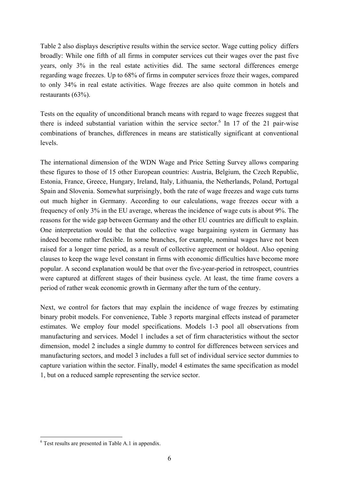Table 2 also displays descriptive results within the service sector. Wage cutting policy differs broadly: While one fifth of all firms in computer services cut their wages over the past five years, only 3% in the real estate activities did. The same sectoral differences emerge regarding wage freezes. Up to 68% of firms in computer services froze their wages, compared to only 34% in real estate activities. Wage freezes are also quite common in hotels and restaurants (63%).

Tests on the equality of unconditional branch means with regard to wage freezes suggest that there is indeed substantial variation within the service sector.<sup>6</sup> In 17 of the 21 pair-wise combinations of branches, differences in means are statistically significant at conventional levels.

The international dimension of the WDN Wage and Price Setting Survey allows comparing these figures to those of 15 other European countries: Austria, Belgium, the Czech Republic, Estonia, France, Greece, Hungary, Ireland, Italy, Lithuania, the Netherlands, Poland, Portugal Spain and Slovenia. Somewhat surprisingly, both the rate of wage freezes and wage cuts turns out much higher in Germany. According to our calculations, wage freezes occur with a frequency of only 3% in the EU average, whereas the incidence of wage cuts is about 9%. The reasons for the wide gap between Germany and the other EU countries are difficult to explain. One interpretation would be that the collective wage bargaining system in Germany has indeed become rather flexible. In some branches, for example, nominal wages have not been raised for a longer time period, as a result of collective agreement or holdout. Also opening clauses to keep the wage level constant in firms with economic difficulties have become more popular. A second explanation would be that over the five-year-period in retrospect, countries were captured at different stages of their business cycle. At least, the time frame covers a period of rather weak economic growth in Germany after the turn of the century.

Next, we control for factors that may explain the incidence of wage freezes by estimating binary probit models. For convenience, Table 3 reports marginal effects instead of parameter estimates. We employ four model specifications. Models 1-3 pool all observations from manufacturing and services. Model 1 includes a set of firm characteristics without the sector dimension, model 2 includes a single dummy to control for differences between services and manufacturing sectors, and model 3 includes a full set of individual service sector dummies to capture variation within the sector. Finally, model 4 estimates the same specification as model 1, but on a reduced sample representing the service sector.

1

<sup>6</sup> Test results are presented in Table A.1 in appendix.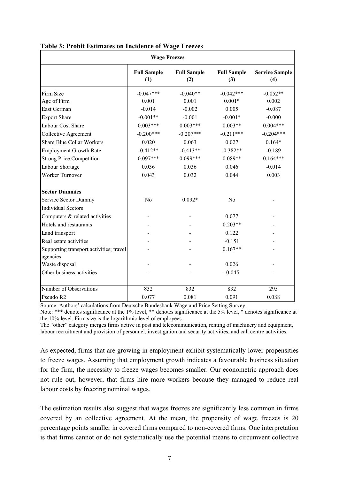| <b>Wage Freezes</b>                     |                           |                           |                           |                              |  |  |
|-----------------------------------------|---------------------------|---------------------------|---------------------------|------------------------------|--|--|
|                                         | <b>Full Sample</b><br>(1) | <b>Full Sample</b><br>(2) | <b>Full Sample</b><br>(3) | <b>Service Sample</b><br>(4) |  |  |
| Firm Size                               | $-0.047***$               | $-0.040**$                | $-0.042***$               | $-0.052**$                   |  |  |
| Age of Firm                             | 0.001                     | 0.001                     | $0.001*$                  | 0.002                        |  |  |
| East German                             | $-0.014$                  | $-0.002$                  | 0.005                     | $-0.087$                     |  |  |
| <b>Export Share</b>                     | $-0.001**$                | $-0.001$                  | $-0.001*$                 | $-0.000$                     |  |  |
| Labour Cost Share                       | $0.003***$                | $0.003***$                | $0.003**$                 | $0.004***$                   |  |  |
| <b>Collective Agreement</b>             | $-0.200***$               | $-0.207***$               | $-0.211***$               | $-0.204***$                  |  |  |
| <b>Share Blue Collar Workers</b>        | 0.020                     | 0.063                     | 0.027                     | $0.164*$                     |  |  |
| <b>Employment Growth Rate</b>           | $-0.412**$                | $-0.413**$                | $-0.382**$                | $-0.189$                     |  |  |
| <b>Strong Price Competition</b>         | $0.097***$                | $0.099***$                | $0.089**$                 | $0.164***$                   |  |  |
| Labour Shortage                         | 0.036                     | 0.036                     | 0.046                     | $-0.014$                     |  |  |
| Worker Turnover                         | 0.043                     | 0.032                     | 0.044                     | 0.003                        |  |  |
| <b>Sector Dummies</b>                   |                           |                           |                           |                              |  |  |
| Service Sector Dummy                    | N <sub>0</sub>            | $0.092*$                  | N <sub>0</sub>            |                              |  |  |
| <b>Individual Sectors</b>               |                           |                           |                           |                              |  |  |
| Computers & related activities          |                           |                           | 0.077                     |                              |  |  |
| Hotels and restaurants                  |                           |                           | $0.203**$                 |                              |  |  |
| Land transport                          |                           |                           | 0.122                     |                              |  |  |
| Real estate activities                  |                           |                           | $-0.151$                  |                              |  |  |
| Supporting transport activities; travel |                           |                           | $0.167**$                 |                              |  |  |
| agencies                                |                           |                           |                           |                              |  |  |
| Waste disposal                          |                           |                           | 0.026                     |                              |  |  |
| Other business activities               |                           |                           | $-0.045$                  |                              |  |  |
| Number of Observations                  | 832                       | 832                       | 832                       | 295                          |  |  |
| Pseudo R2                               | 0.077                     | 0.081                     | 0.091                     | 0.088                        |  |  |

#### **Table 3: Probit Estimates on Incidence of Wage Freezes**

Source: Authors' calculations from Deutsche Bundesbank Wage and Price Setting Survey.

Note: \*\*\* denotes significance at the 1% level, \*\* denotes significance at the 5% level, \* denotes significance at the 10% level. Firm size is the logarithmic level of employees.

The "other" category merges firms active in post and telecommunication, renting of machinery and equipment, labour recruitment and provision of personnel, investigation and security activities, and call centre activities.

As expected, firms that are growing in employment exhibit systematically lower propensities to freeze wages. Assuming that employment growth indicates a favourable business situation for the firm, the necessity to freeze wages becomes smaller. Our econometric approach does not rule out, however, that firms hire more workers because they managed to reduce real labour costs by freezing nominal wages.

The estimation results also suggest that wages freezes are significantly less common in firms covered by an collective agreement. At the mean, the propensity of wage freezes is 20 percentage points smaller in covered firms compared to non-covered firms. One interpretation is that firms cannot or do not systematically use the potential means to circumvent collective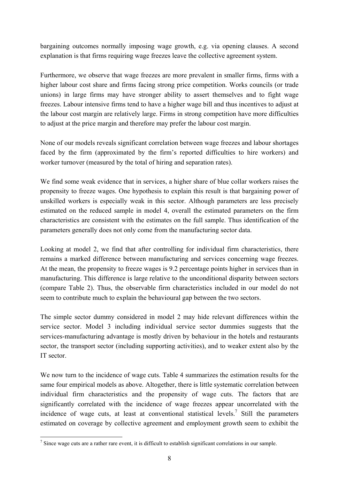bargaining outcomes normally imposing wage growth, e.g. via opening clauses. A second explanation is that firms requiring wage freezes leave the collective agreement system.

Furthermore, we observe that wage freezes are more prevalent in smaller firms, firms with a higher labour cost share and firms facing strong price competition. Works councils (or trade unions) in large firms may have stronger ability to assert themselves and to fight wage freezes. Labour intensive firms tend to have a higher wage bill and thus incentives to adjust at the labour cost margin are relatively large. Firms in strong competition have more difficulties to adjust at the price margin and therefore may prefer the labour cost margin.

None of our models reveals significant correlation between wage freezes and labour shortages faced by the firm (approximated by the firm's reported difficulties to hire workers) and worker turnover (measured by the total of hiring and separation rates).

We find some weak evidence that in services, a higher share of blue collar workers raises the propensity to freeze wages. One hypothesis to explain this result is that bargaining power of unskilled workers is especially weak in this sector. Although parameters are less precisely estimated on the reduced sample in model 4, overall the estimated parameters on the firm characteristics are consistent with the estimates on the full sample. Thus identification of the parameters generally does not only come from the manufacturing sector data.

Looking at model 2, we find that after controlling for individual firm characteristics, there remains a marked difference between manufacturing and services concerning wage freezes. At the mean, the propensity to freeze wages is 9.2 percentage points higher in services than in manufacturing. This difference is large relative to the unconditional disparity between sectors (compare Table 2). Thus, the observable firm characteristics included in our model do not seem to contribute much to explain the behavioural gap between the two sectors.

The simple sector dummy considered in model 2 may hide relevant differences within the service sector. Model 3 including individual service sector dummies suggests that the services-manufacturing advantage is mostly driven by behaviour in the hotels and restaurants sector, the transport sector (including supporting activities), and to weaker extent also by the IT sector.

We now turn to the incidence of wage cuts. Table 4 summarizes the estimation results for the same four empirical models as above. Altogether, there is little systematic correlation between individual firm characteristics and the propensity of wage cuts. The factors that are significantly correlated with the incidence of wage freezes appear uncorrelated with the incidence of wage cuts, at least at conventional statistical levels.<sup>7</sup> Still the parameters estimated on coverage by collective agreement and employment growth seem to exhibit the

<sup>1</sup>  $<sup>7</sup>$  Since wage cuts are a rather rare event, it is difficult to establish significant correlations in our sample.</sup>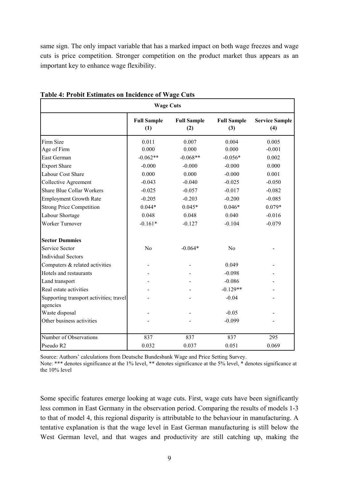same sign. The only impact variable that has a marked impact on both wage freezes and wage cuts is price competition. Stronger competition on the product market thus appears as an important key to enhance wage flexibility.

| Table 7. I Toble Estimates on Incluence of Wage Cuts<br><b>Wage Cuts</b> |                           |                           |                           |                              |  |
|--------------------------------------------------------------------------|---------------------------|---------------------------|---------------------------|------------------------------|--|
|                                                                          | <b>Full Sample</b><br>(1) | <b>Full Sample</b><br>(2) | <b>Full Sample</b><br>(3) | <b>Service Sample</b><br>(4) |  |
| Firm Size                                                                | 0.011                     | 0.007                     | 0.004                     | 0.005                        |  |
| Age of Firm                                                              | 0.000                     | 0.000                     | 0.000                     | $-0.001$                     |  |
| East German                                                              | $-0.062**$                | $-0.068**$                | $-0.056*$                 | 0.002                        |  |
| <b>Export Share</b>                                                      | $-0.000$                  | $-0.000$                  | $-0.000$                  | 0.000                        |  |
| Labour Cost Share                                                        | 0.000                     | 0.000                     | $-0.000$                  | 0.001                        |  |
| <b>Collective Agreement</b>                                              | $-0.043$                  | $-0.040$                  | $-0.025$                  | $-0.050$                     |  |
| <b>Share Blue Collar Workers</b>                                         | $-0.025$                  | $-0.057$                  | $-0.017$                  | $-0.082$                     |  |
| <b>Employment Growth Rate</b>                                            | $-0.205$                  | $-0.203$                  | $-0.200$                  | $-0.085$                     |  |
| <b>Strong Price Competition</b>                                          | $0.044*$                  | $0.045*$                  | $0.046*$                  | $0.079*$                     |  |
| Labour Shortage                                                          | 0.048                     | 0.048                     | 0.040                     | $-0.016$                     |  |
| Worker Turnover                                                          | $-0.161*$                 | $-0.127$                  | $-0.104$                  | $-0.079$                     |  |
| <b>Sector Dummies</b>                                                    |                           |                           |                           |                              |  |
| <b>Service Sector</b>                                                    | N <sub>o</sub>            | $-0.064*$                 | N <sub>o</sub>            |                              |  |
| <b>Individual Sectors</b>                                                |                           |                           |                           |                              |  |
| Computers & related activities                                           |                           |                           | 0.049                     |                              |  |
| Hotels and restaurants                                                   |                           |                           | $-0.098$                  |                              |  |
| Land transport                                                           |                           |                           | $-0.086$                  |                              |  |
| Real estate activities                                                   |                           |                           | $-0.129**$                |                              |  |
| Supporting transport activities; travel                                  |                           |                           | $-0.04$                   |                              |  |
| agencies                                                                 |                           |                           |                           |                              |  |
| Waste disposal                                                           |                           |                           | $-0.05$                   |                              |  |
| Other business activities                                                |                           |                           | $-0.099$                  |                              |  |
| Number of Observations                                                   | 837                       | 837                       | 837                       | 295                          |  |
| Pseudo R2                                                                | 0.032                     | 0.037                     | 0.051                     | 0.069                        |  |

#### **Table 4: Probit Estimates on Incidence of Wage Cuts**

Source: Authors' calculations from Deutsche Bundesbank Wage and Price Setting Survey.

Note: \*\*\* denotes significance at the 1% level, \*\* denotes significance at the 5% level, \* denotes significance at the 10% level

Some specific features emerge looking at wage cuts. First, wage cuts have been significantly less common in East Germany in the observation period. Comparing the results of models 1-3 to that of model 4, this regional disparity is attributable to the behaviour in manufacturing. A tentative explanation is that the wage level in East German manufacturing is still below the West German level, and that wages and productivity are still catching up, making the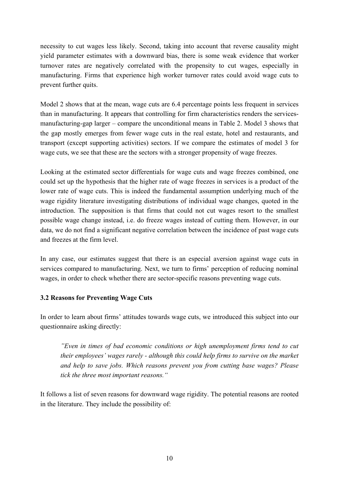necessity to cut wages less likely. Second, taking into account that reverse causality might yield parameter estimates with a downward bias, there is some weak evidence that worker turnover rates are negatively correlated with the propensity to cut wages, especially in manufacturing. Firms that experience high worker turnover rates could avoid wage cuts to prevent further quits.

Model 2 shows that at the mean, wage cuts are 6.4 percentage points less frequent in services than in manufacturing. It appears that controlling for firm characteristics renders the servicesmanufacturing-gap larger – compare the unconditional means in Table 2. Model 3 shows that the gap mostly emerges from fewer wage cuts in the real estate, hotel and restaurants, and transport (except supporting activities) sectors. If we compare the estimates of model 3 for wage cuts, we see that these are the sectors with a stronger propensity of wage freezes.

Looking at the estimated sector differentials for wage cuts and wage freezes combined, one could set up the hypothesis that the higher rate of wage freezes in services is a product of the lower rate of wage cuts. This is indeed the fundamental assumption underlying much of the wage rigidity literature investigating distributions of individual wage changes, quoted in the introduction. The supposition is that firms that could not cut wages resort to the smallest possible wage change instead, i.e. do freeze wages instead of cutting them. However, in our data, we do not find a significant negative correlation between the incidence of past wage cuts and freezes at the firm level.

In any case, our estimates suggest that there is an especial aversion against wage cuts in services compared to manufacturing. Next, we turn to firms' perception of reducing nominal wages, in order to check whether there are sector-specific reasons preventing wage cuts.

## **3.2 Reasons for Preventing Wage Cuts**

In order to learn about firms' attitudes towards wage cuts, we introduced this subject into our questionnaire asking directly:

*"Even in times of bad economic conditions or high unemployment firms tend to cut their employees' wages rarely - although this could help firms to survive on the market and help to save jobs. Which reasons prevent you from cutting base wages? Please tick the three most important reasons."* 

It follows a list of seven reasons for downward wage rigidity. The potential reasons are rooted in the literature. They include the possibility of: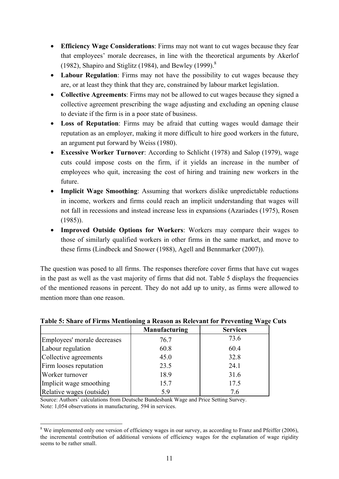- **Efficiency Wage Considerations**: Firms may not want to cut wages because they fear that employees' morale decreases, in line with the theoretical arguments by Akerlof (1982), Shapiro and Stiglitz (1984), and Bewley (1999). $8$
- **Labour Regulation**: Firms may not have the possibility to cut wages because they are, or at least they think that they are, constrained by labour market legislation.
- **Collective Agreements**: Firms may not be allowed to cut wages because they signed a collective agreement prescribing the wage adjusting and excluding an opening clause to deviate if the firm is in a poor state of business.
- **Loss of Reputation**: Firms may be afraid that cutting wages would damage their reputation as an employer, making it more difficult to hire good workers in the future, an argument put forward by Weiss (1980).
- **Excessive Worker Turnover**: According to Schlicht (1978) and Salop (1979), wage cuts could impose costs on the firm, if it yields an increase in the number of employees who quit, increasing the cost of hiring and training new workers in the future.
- **Implicit Wage Smoothing**: Assuming that workers dislike unpredictable reductions in income, workers and firms could reach an implicit understanding that wages will not fall in recessions and instead increase less in expansions (Azariades (1975), Rosen  $(1985)$ ).
- **Improved Outside Options for Workers**: Workers may compare their wages to those of similarly qualified workers in other firms in the same market, and move to these firms (Lindbeck and Snower (1988), Agell and Bennmarker (2007)).

The question was posed to all firms. The responses therefore cover firms that have cut wages in the past as well as the vast majority of firms that did not. Table 5 displays the frequencies of the mentioned reasons in percent. They do not add up to unity, as firms were allowed to mention more than one reason.

|                             | <b>Manufacturing</b> | <b>Services</b> |
|-----------------------------|----------------------|-----------------|
| Employees' morale decreases | 76.7                 | 73.6            |
| Labour regulation           | 60.8                 | 60.4            |
| Collective agreements       | 45.0                 | 32.8            |
| Firm looses reputation      | 23.5                 | 24.1            |
| Worker turnover             | 18.9                 | 31.6            |
| Implicit wage smoothing     | 15.7                 | 17.5            |
| Relative wages (outside)    | 5.9                  | 7.6             |

## **Table 5: Share of Firms Mentioning a Reason as Relevant for Preventing Wage Cuts**

Source: Authors' calculations from Deutsche Bundesbank Wage and Price Setting Survey. Note: 1,054 observations in manufacturing, 594 in services.

<sup>1</sup>  $8$  We implemented only one version of efficiency wages in our survey, as according to Franz and Pfeiffer (2006), the incremental contribution of additional versions of efficiency wages for the explanation of wage rigidity seems to be rather small.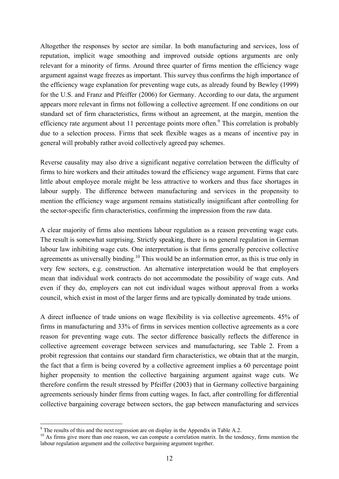Altogether the responses by sector are similar. In both manufacturing and services, loss of reputation, implicit wage smoothing and improved outside options arguments are only relevant for a minority of firms. Around three quarter of firms mention the efficiency wage argument against wage freezes as important. This survey thus confirms the high importance of the efficiency wage explanation for preventing wage cuts, as already found by Bewley (1999) for the U.S. and Franz and Pfeiffer (2006) for Germany. According to our data, the argument appears more relevant in firms not following a collective agreement. If one conditions on our standard set of firm characteristics, firms without an agreement, at the margin, mention the efficiency rate argument about 11 percentage points more often.<sup>9</sup> This correlation is probably due to a selection process. Firms that seek flexible wages as a means of incentive pay in general will probably rather avoid collectively agreed pay schemes.

Reverse causality may also drive a significant negative correlation between the difficulty of firms to hire workers and their attitudes toward the efficiency wage argument. Firms that care little about employee morale might be less attractive to workers and thus face shortages in labour supply. The difference between manufacturing and services in the propensity to mention the efficiency wage argument remains statistically insignificant after controlling for the sector-specific firm characteristics, confirming the impression from the raw data.

A clear majority of firms also mentions labour regulation as a reason preventing wage cuts. The result is somewhat surprising. Strictly speaking, there is no general regulation in German labour law inhibiting wage cuts. One interpretation is that firms generally perceive collective agreements as universally binding.<sup>10</sup> This would be an information error, as this is true only in very few sectors, e.g. construction. An alternative interpretation would be that employers mean that individual work contracts do not accommodate the possibility of wage cuts. And even if they do, employers can not cut individual wages without approval from a works council, which exist in most of the larger firms and are typically dominated by trade unions.

A direct influence of trade unions on wage flexibility is via collective agreements. 45% of firms in manufacturing and 33% of firms in services mention collective agreements as a core reason for preventing wage cuts. The sector difference basically reflects the difference in collective agreement coverage between services and manufacturing, see Table 2. From a probit regression that contains our standard firm characteristics, we obtain that at the margin, the fact that a firm is being covered by a collective agreement implies a 60 percentage point higher propensity to mention the collective bargaining argument against wage cuts. We therefore confirm the result stressed by Pfeiffer (2003) that in Germany collective bargaining agreements seriously hinder firms from cutting wages. In fact, after controlling for differential collective bargaining coverage between sectors, the gap between manufacturing and services

1

 $9$ <sup>9</sup> The results of this and the next regression are on display in the Appendix in Table A.2.

<sup>&</sup>lt;sup>10</sup> As firms give more than one reason, we can compute a correlation matrix. In the tendency, firms mention the labour regulation argument and the collective bargaining argument together.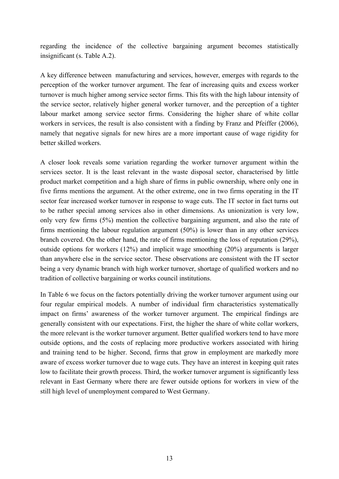regarding the incidence of the collective bargaining argument becomes statistically insignificant (s. Table A.2).

A key difference between manufacturing and services, however, emerges with regards to the perception of the worker turnover argument. The fear of increasing quits and excess worker turnover is much higher among service sector firms. This fits with the high labour intensity of the service sector, relatively higher general worker turnover, and the perception of a tighter labour market among service sector firms. Considering the higher share of white collar workers in services, the result is also consistent with a finding by Franz and Pfeiffer (2006), namely that negative signals for new hires are a more important cause of wage rigidity for better skilled workers.

A closer look reveals some variation regarding the worker turnover argument within the services sector. It is the least relevant in the waste disposal sector, characterised by little product market competition and a high share of firms in public ownership, where only one in five firms mentions the argument. At the other extreme, one in two firms operating in the IT sector fear increased worker turnover in response to wage cuts. The IT sector in fact turns out to be rather special among services also in other dimensions. As unionization is very low, only very few firms (5%) mention the collective bargaining argument, and also the rate of firms mentioning the labour regulation argument (50%) is lower than in any other services branch covered. On the other hand, the rate of firms mentioning the loss of reputation (29%), outside options for workers (12%) and implicit wage smoothing (20%) arguments is larger than anywhere else in the service sector. These observations are consistent with the IT sector being a very dynamic branch with high worker turnover, shortage of qualified workers and no tradition of collective bargaining or works council institutions.

In Table 6 we focus on the factors potentially driving the worker turnover argument using our four regular empirical models. A number of individual firm characteristics systematically impact on firms' awareness of the worker turnover argument. The empirical findings are generally consistent with our expectations. First, the higher the share of white collar workers, the more relevant is the worker turnover argument. Better qualified workers tend to have more outside options, and the costs of replacing more productive workers associated with hiring and training tend to be higher. Second, firms that grow in employment are markedly more aware of excess worker turnover due to wage cuts. They have an interest in keeping quit rates low to facilitate their growth process. Third, the worker turnover argument is significantly less relevant in East Germany where there are fewer outside options for workers in view of the still high level of unemployment compared to West Germany.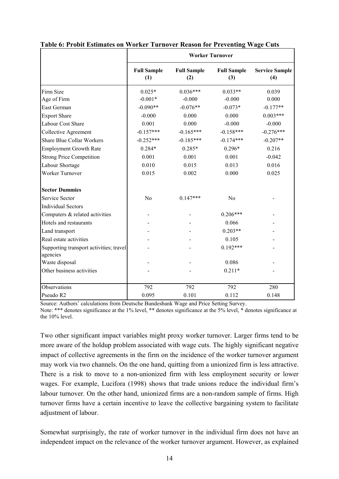|                                                     | <b>Worker Turnover</b>    |                           |                           |                              |  |  |
|-----------------------------------------------------|---------------------------|---------------------------|---------------------------|------------------------------|--|--|
|                                                     | <b>Full Sample</b><br>(1) | <b>Full Sample</b><br>(2) | <b>Full Sample</b><br>(3) | <b>Service Sample</b><br>(4) |  |  |
| Firm Size                                           | $0.025*$                  | $0.036***$                | $0.033**$                 | 0.039                        |  |  |
| Age of Firm                                         | $-0.001*$                 | $-0.000$                  | $-0.000$                  | 0.000                        |  |  |
| East German                                         | $-0.090**$                | $-0.076**$                | $-0.073*$                 | $-0.177**$                   |  |  |
| <b>Export Share</b>                                 | $-0.000$                  | 0.000                     | 0.000                     | $0.003***$                   |  |  |
| Labour Cost Share                                   | 0.001                     | 0.000                     | $-0.000$                  | $-0.000$                     |  |  |
| Collective Agreement                                | $-0.157***$               | $-0.165***$               | $-0.158***$               | $-0.276***$                  |  |  |
| <b>Share Blue Collar Workers</b>                    | $-0.252***$               | $-0.185***$               | $-0.174***$               | $-0.207**$                   |  |  |
| <b>Employment Growth Rate</b>                       | $0.284*$                  | $0.285*$                  | $0.296*$                  | 0.216                        |  |  |
| <b>Strong Price Competition</b>                     | 0.001                     | 0.001                     | 0.001                     | $-0.042$                     |  |  |
| Labour Shortage                                     | 0.010                     | 0.015                     | 0.013                     | 0.016                        |  |  |
| Worker Turnover                                     | 0.015                     | 0.002                     | 0.000                     | 0.025                        |  |  |
| <b>Sector Dummies</b>                               |                           |                           |                           |                              |  |  |
| Service Sector                                      | N <sub>o</sub>            | $0.147***$                | N <sub>o</sub>            |                              |  |  |
| <b>Individual Sectors</b>                           |                           |                           |                           |                              |  |  |
| Computers & related activities                      |                           |                           | $0.206***$                |                              |  |  |
| Hotels and restaurants                              |                           |                           | 0.066                     |                              |  |  |
| Land transport                                      |                           |                           | $0.203**$                 |                              |  |  |
| Real estate activities                              |                           |                           | 0.105                     |                              |  |  |
| Supporting transport activities; travel<br>agencies |                           |                           | $0.192***$                |                              |  |  |
| Waste disposal                                      |                           |                           | 0.086                     |                              |  |  |
| Other business activities                           |                           |                           | $0.211*$                  |                              |  |  |
|                                                     |                           |                           |                           |                              |  |  |
| Observations                                        | 792                       | 792                       | 792                       | 280                          |  |  |
| Pseudo R2                                           | 0.095                     | 0.101                     | 0.112                     | 0.148                        |  |  |

| Table 6: Probit Estimates on Worker Turnover Reason for Preventing Wage Cuts |  |  |  |
|------------------------------------------------------------------------------|--|--|--|
|                                                                              |  |  |  |

Source: Authors' calculations from Deutsche Bundesbank Wage and Price Setting Survey. Note: \*\*\* denotes significance at the 1% level, \*\* denotes significance at the 5% level, \* denotes significance at the 10% level.

Two other significant impact variables might proxy worker turnover. Larger firms tend to be more aware of the holdup problem associated with wage cuts. The highly significant negative impact of collective agreements in the firm on the incidence of the worker turnover argument may work via two channels. On the one hand, quitting from a unionized firm is less attractive. There is a risk to move to a non-unionized firm with less employment security or lower wages. For example, Lucifora (1998) shows that trade unions reduce the individual firm's labour turnover. On the other hand, unionized firms are a non-random sample of firms. High turnover firms have a certain incentive to leave the collective bargaining system to facilitate adjustment of labour.

Somewhat surprisingly, the rate of worker turnover in the individual firm does not have an independent impact on the relevance of the worker turnover argument. However, as explained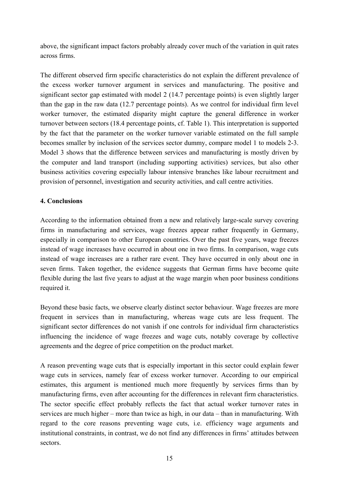above, the significant impact factors probably already cover much of the variation in quit rates across firms.

The different observed firm specific characteristics do not explain the different prevalence of the excess worker turnover argument in services and manufacturing. The positive and significant sector gap estimated with model 2 (14.7 percentage points) is even slightly larger than the gap in the raw data (12.7 percentage points). As we control for individual firm level worker turnover, the estimated disparity might capture the general difference in worker turnover between sectors (18.4 percentage points, cf. Table 1). This interpretation is supported by the fact that the parameter on the worker turnover variable estimated on the full sample becomes smaller by inclusion of the services sector dummy, compare model 1 to models 2-3. Model 3 shows that the difference between services and manufacturing is mostly driven by the computer and land transport (including supporting activities) services, but also other business activities covering especially labour intensive branches like labour recruitment and provision of personnel, investigation and security activities, and call centre activities.

### **4. Conclusions**

According to the information obtained from a new and relatively large-scale survey covering firms in manufacturing and services, wage freezes appear rather frequently in Germany, especially in comparison to other European countries. Over the past five years, wage freezes instead of wage increases have occurred in about one in two firms. In comparison, wage cuts instead of wage increases are a rather rare event. They have occurred in only about one in seven firms. Taken together, the evidence suggests that German firms have become quite flexible during the last five years to adjust at the wage margin when poor business conditions required it.

Beyond these basic facts, we observe clearly distinct sector behaviour. Wage freezes are more frequent in services than in manufacturing, whereas wage cuts are less frequent. The significant sector differences do not vanish if one controls for individual firm characteristics influencing the incidence of wage freezes and wage cuts, notably coverage by collective agreements and the degree of price competition on the product market.

A reason preventing wage cuts that is especially important in this sector could explain fewer wage cuts in services, namely fear of excess worker turnover. According to our empirical estimates, this argument is mentioned much more frequently by services firms than by manufacturing firms, even after accounting for the differences in relevant firm characteristics. The sector specific effect probably reflects the fact that actual worker turnover rates in services are much higher – more than twice as high, in our data – than in manufacturing. With regard to the core reasons preventing wage cuts, i.e. efficiency wage arguments and institutional constraints, in contrast, we do not find any differences in firms' attitudes between sectors.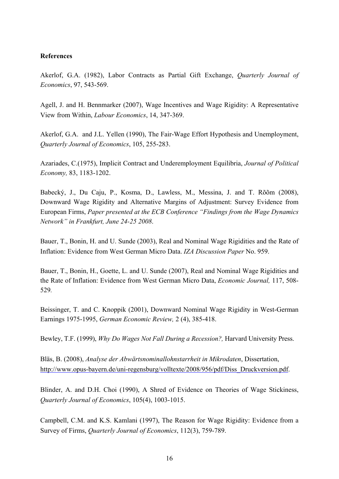#### **References**

Akerlof, G.A. (1982), Labor Contracts as Partial Gift Exchange, *Quarterly Journal of Economics*, 97, 543-569.

Agell, J. and H. Bennmarker (2007), Wage Incentives and Wage Rigidity: A Representative View from Within, *Labour Economics*, 14, 347-369.

Akerlof, G.A. and J.L. Yellen (1990), The Fair-Wage Effort Hypothesis and Unemployment, *Quarterly Journal of Economics*, 105, 255-283.

Azariades, C.(1975), Implicit Contract and Underemployment Equilibria, *Journal of Political Economy,* 83, 1183-1202.

Babecký, J., Du Caju, P., Kosma, D., Lawless, M., Messina, J. and T. Rõõm (2008), Downward Wage Rigidity and Alternative Margins of Adjustment: Survey Evidence from European Firms, *Paper presented at the ECB Conference "Findings from the Wage Dynamics Network" in Frankfurt, June 24-25 2008*.

Bauer, T., Bonin, H. and U. Sunde (2003), Real and Nominal Wage Rigidities and the Rate of Inflation: Evidence from West German Micro Data. *IZA Discussion Paper* No. 959.

Bauer, T., Bonin, H., Goette, L. and U. Sunde (2007), Real and Nominal Wage Rigidities and the Rate of Inflation: Evidence from West German Micro Data, *Economic Journal,* 117, 508- 529*.*

Beissinger, T. and C. Knoppik (2001), Downward Nominal Wage Rigidity in West-German Earnings 1975-1995, *German Economic Review,* 2 (4), 385-418.

Bewley, T.F. (1999), *Why Do Wages Not Fall During a Recession?,* Harvard University Press.

Bläs, B. (2008), *Analyse der Abwärtsnominallohnstarrheit in Mikrodaten*, Dissertation, http://www.opus-bayern.de/uni-regensburg/volltexte/2008/956/pdf/Diss\_Druckversion.pdf.

Blinder, A. and D.H. Choi (1990), A Shred of Evidence on Theories of Wage Stickiness, *Quarterly Journal of Economics*, 105(4), 1003-1015.

Campbell, C.M. and K.S. Kamlani (1997), The Reason for Wage Rigidity: Evidence from a Survey of Firms, *Quarterly Journal of Economics*, 112(3), 759-789.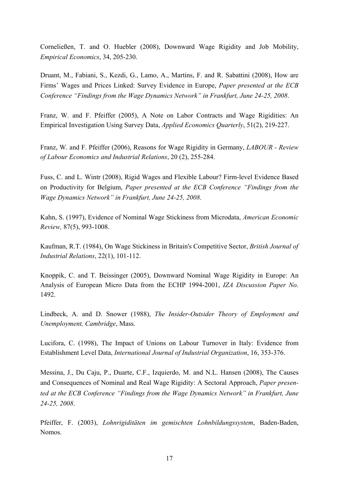Corneließen, T. and O. Huebler (2008), Downward Wage Rigidity and Job Mobility, *Empirical Economics*, 34, 205-230.

Druant, M., Fabiani, S., Kezdi, G., Lamo, A., Martins, F. and R. Sabattini (2008), How are Firms' Wages and Prices Linked: Survey Evidence in Europe, *Paper presented at the ECB Conference "Findings from the Wage Dynamics Network" in Frankfurt, June 24-25, 2008*.

Franz, W. and F. Pfeiffer (2005), A Note on Labor Contracts and Wage Rigidities: An Empirical Investigation Using Survey Data, *Applied Economics Quarterly*, 51(2), 219-227.

Franz, W. and F. Pfeiffer (2006), Reasons for Wage Rigidity in Germany, *LABOUR - Review of Labour Economics and Industrial Relations*, 20 (2), 255-284.

Fuss, C. and L. Wintr (2008), Rigid Wages and Flexible Labour? Firm-level Evidence Based on Productivity for Belgium, *Paper presented at the ECB Conference "Findings from the Wage Dynamics Network" in Frankfurt, June 24-25, 2008*.

Kahn, S. (1997), Evidence of Nominal Wage Stickiness from Microdata, *American Economic Review,* 87(5), 993-1008.

Kaufman, R.T. (1984), On Wage Stickiness in Britain's Competitive Sector, *British Journal of Industrial Relations*, 22(1), 101-112.

Knoppik, C. and T. Beissinger (2005), Downward Nominal Wage Rigidity in Europe: An Analysis of European Micro Data from the ECHP 1994-2001, *IZA Discussion Paper No*. 1492.

Lindbeck, A. and D. Snower (1988), *The Insider-Outsider Theory of Employment and Unemployment, Cambridge*, Mass.

Lucifora, C. (1998), The Impact of Unions on Labour Turnover in Italy: Evidence from Establishment Level Data, *International Journal of Industrial Organization*, 16, 353-376.

Messina, J., Du Caju, P., Duarte, C.F., Izquierdo, M. and N.L. Hansen (2008), The Causes and Consequences of Nominal and Real Wage Rigidity: A Sectoral Approach, *Paper presented at the ECB Conference "Findings from the Wage Dynamics Network" in Frankfurt, June 24-25, 2008*.

Pfeiffer, F. (2003), *Lohnrigiditäten im gemischten Lohnbildungssystem*, Baden-Baden, Nomos.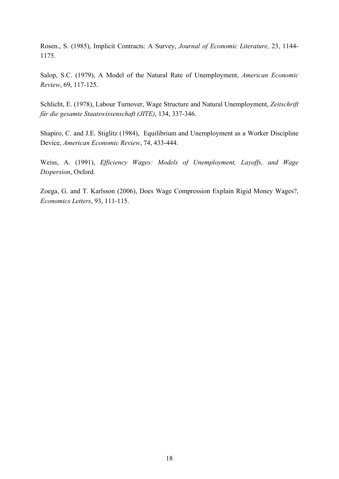Rosen., S. (1985), Implicit Contracts: A Survey, *Journal of Economic Literature,* 23, 1144- 1175.

Salop, S.C. (1979), A Model of the Natural Rate of Unemployment, *American Economic Review*, 69, 117-125.

Schlicht, E. (1978), Labour Turnover, Wage Structure and Natural Unemployment, *Zeitschrift für die gesamte Staatswissenschaft (JITE)*, 134, 337-346.

Shapiro, C. and J.E. Stiglitz (1984), Equilibrium and Unemployment as a Worker Discipline Device, *American Economic Review*, 74, 433-444.

Weiss, A. (1991), *Efficiency Wages: Models of Unemployment, Layoffs, and Wage Dispersion*, Oxford.

Zoega, G. and T. Karlsson (2006), Does Wage Compression Explain Rigid Money Wages?, *Economics Letters*, 93, 111-115.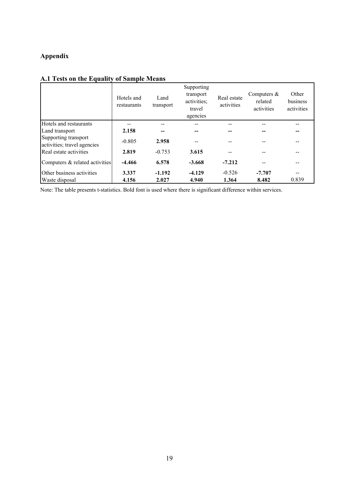# **Appendix**

|                                                     | Hotels and<br>restaurants | Land<br>transport | Supporting<br>transport<br>activities;<br>travel<br>agencies | Real estate<br>activities | Computers $\&$<br>related<br>activities | Other<br>business<br>activities |
|-----------------------------------------------------|---------------------------|-------------------|--------------------------------------------------------------|---------------------------|-----------------------------------------|---------------------------------|
| Hotels and restaurants                              | --                        | --                |                                                              |                           |                                         |                                 |
| Land transport                                      | 2.158                     |                   |                                                              |                           |                                         |                                 |
| Supporting transport<br>activities; travel agencies | $-0.805$                  | 2.958             |                                                              |                           |                                         |                                 |
| Real estate activities                              | 2.819                     | $-0.753$          | 3.615                                                        |                           |                                         |                                 |
| Computers & related activities                      | $-4.466$                  | 6.578             | $-3.668$                                                     | $-7.212$                  |                                         |                                 |
| Other business activities                           | 3.337                     | $-1.192$          | $-4.129$                                                     | $-0.526$                  | $-7.707$                                |                                 |
| Waste disposal                                      | 4.156                     | 2.027             | 4.940                                                        | 1.364                     | 8.482                                   | 0.839                           |

## **A.1 Tests on the Equality of Sample Means**

Note: The table presents t-statistics. Bold font is used where there is significant difference within services.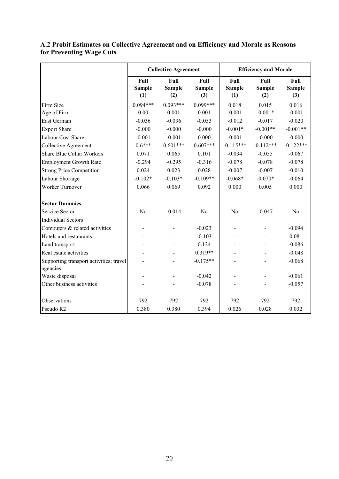|                                                     |                              | <b>Collective Agreement</b>  |                              | <b>Efficiency and Morale</b> |                              |                              |
|-----------------------------------------------------|------------------------------|------------------------------|------------------------------|------------------------------|------------------------------|------------------------------|
|                                                     | Full<br><b>Sample</b><br>(1) | Full<br><b>Sample</b><br>(2) | Full<br><b>Sample</b><br>(3) | Full<br><b>Sample</b><br>(1) | Full<br><b>Sample</b><br>(2) | Full<br><b>Sample</b><br>(3) |
| Firm Size                                           | $0.094***$                   | $0.093***$                   | $0.099***$                   | 0.018                        | 0.015                        | 0.016                        |
| Age of Firm                                         | 0.00                         | 0.001                        | 0.001                        | $-0.001$                     | $-0.001*$                    | $-0.001$                     |
| East German                                         | $-0.036$                     | $-0.036$                     | $-0.053$                     | $-0.012$                     | $-0.017$                     | $-0.020$                     |
| <b>Export Share</b>                                 | $-0.000$                     | $-0.000$                     | $-0.000$                     | $-0.001*$                    | $-0.001**$                   | $-0.001**$                   |
| Labour Cost Share                                   | $-0.001$                     | $-0.001$                     | 0.000                        | $-0.001$                     | $-0.000$                     | $-0.000$                     |
| <b>Collective Agreement</b>                         | $0.6***$                     | $0.601***$                   | $0.607***$                   | $-0.115***$                  | $-0.112***$                  | $-0.122***$                  |
| <b>Share Blue Collar Workers</b>                    | 0.071                        | 0.065                        | 0.101                        | $-0.034$                     | $-0.055$                     | $-0.067$                     |
| <b>Employment Growth Rate</b>                       | $-0.294$                     | $-0.295$                     | $-0.316$                     | $-0.078$                     | $-0.078$                     | $-0.078$                     |
| <b>Strong Price Competition</b>                     | 0.024                        | 0.023                        | 0.028                        | $-0.007$                     | $-0.007$                     | $-0.010$                     |
| Labour Shortage                                     | $-0.102*$                    | $-0.103*$                    | $-0.109**$                   | $-0.068*$                    | $-0.070*$                    | $-0.064$                     |
| Worker Turnover                                     | 0.066                        | 0.069                        | 0.092                        | 0.000                        | 0.005                        | 0.000                        |
| <b>Sector Dummies</b>                               |                              |                              |                              |                              |                              |                              |
| Service Sector                                      | N <sub>o</sub>               | $-0.014$                     | N <sub>o</sub>               | N <sub>o</sub>               | $-0.047$                     | No                           |
| <b>Individual Sectors</b>                           |                              |                              |                              |                              |                              |                              |
| Computers & related activities                      |                              |                              | $-0.023$                     |                              |                              | $-0.094$                     |
| Hotels and restaurants                              |                              |                              | $-0.103$                     |                              |                              | 0.081                        |
| Land transport                                      |                              |                              | 0.124                        |                              |                              | $-0.086$                     |
| Real estate activities                              |                              |                              | $0.319**$                    |                              |                              | $-0.048$                     |
| Supporting transport activities; travel<br>agencies |                              |                              | $-0.175**$                   |                              |                              | $-0.068$                     |
| Waste disposal                                      |                              |                              | $-0.042$                     |                              |                              | $-0.061$                     |
| Other business activities                           |                              |                              | $-0.078$                     |                              |                              | $-0.057$                     |
|                                                     |                              |                              |                              |                              |                              |                              |
| Observations                                        | 792                          | 792                          | 792                          | 792                          | 792                          | 792                          |
| Pseudo R2                                           | 0.380                        | 0.380                        | 0.394                        | 0.026                        | 0.028                        | 0.032                        |

### **A.2 Probit Estimates on Collective Agreement and on Efficiency and Morale as Reasons for Preventing Wage Cuts**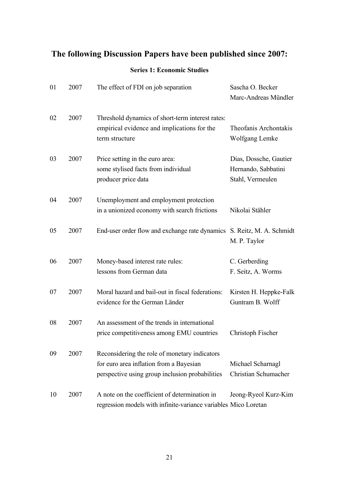# **The following Discussion Papers have been published since 2007:**

## **Series 1: Economic Studies**

| 01 | 2007 | The effect of FDI on job separation                                                                                                         | Sascha O. Becker<br>Marc-Andreas Mündler                          |
|----|------|---------------------------------------------------------------------------------------------------------------------------------------------|-------------------------------------------------------------------|
| 02 | 2007 | Threshold dynamics of short-term interest rates:<br>empirical evidence and implications for the<br>term structure                           | Theofanis Archontakis<br>Wolfgang Lemke                           |
| 03 | 2007 | Price setting in the euro area:<br>some stylised facts from individual<br>producer price data                                               | Dias, Dossche, Gautier<br>Hernando, Sabbatini<br>Stahl, Vermeulen |
| 04 | 2007 | Unemployment and employment protection<br>in a unionized economy with search frictions                                                      | Nikolai Stähler                                                   |
| 05 | 2007 | End-user order flow and exchange rate dynamics S. Reitz, M. A. Schmidt                                                                      | M. P. Taylor                                                      |
| 06 | 2007 | Money-based interest rate rules:<br>lessons from German data                                                                                | C. Gerberding<br>F. Seitz, A. Worms                               |
| 07 | 2007 | Moral hazard and bail-out in fiscal federations:<br>evidence for the German Länder                                                          | Kirsten H. Heppke-Falk<br>Guntram B. Wolff                        |
| 08 | 2007 | An assessment of the trends in international<br>price competitiveness among EMU countries                                                   | Christoph Fischer                                                 |
| 09 | 2007 | Reconsidering the role of monetary indicators<br>for euro area inflation from a Bayesian<br>perspective using group inclusion probabilities | Michael Scharnagl<br>Christian Schumacher                         |
| 10 | 2007 | A note on the coefficient of determination in<br>regression models with infinite-variance variables Mico Loretan                            | Jeong-Ryeol Kurz-Kim                                              |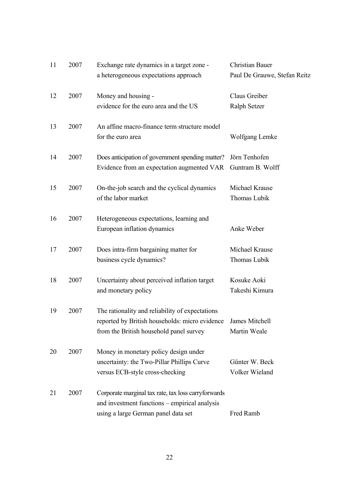| 11 | 2007 | Exchange rate dynamics in a target zone -           | <b>Christian Bauer</b>       |
|----|------|-----------------------------------------------------|------------------------------|
|    |      | a heterogeneous expectations approach               | Paul De Grauwe, Stefan Reitz |
| 12 | 2007 | Money and housing -                                 | Claus Greiber                |
|    |      | evidence for the euro area and the US               | Ralph Setzer                 |
| 13 | 2007 | An affine macro-finance term structure model        |                              |
|    |      | for the euro area                                   | Wolfgang Lemke               |
| 14 | 2007 | Does anticipation of government spending matter?    | Jörn Tenhofen                |
|    |      | Evidence from an expectation augmented VAR          | Guntram B. Wolff             |
| 15 | 2007 | On-the-job search and the cyclical dynamics         | Michael Krause               |
|    |      | of the labor market                                 | Thomas Lubik                 |
| 16 | 2007 | Heterogeneous expectations, learning and            |                              |
|    |      | European inflation dynamics                         | Anke Weber                   |
| 17 | 2007 | Does intra-firm bargaining matter for               | Michael Krause               |
|    |      | business cycle dynamics?                            | Thomas Lubik                 |
| 18 | 2007 | Uncertainty about perceived inflation target        | Kosuke Aoki                  |
|    |      | and monetary policy                                 | Takeshi Kimura               |
| 19 | 2007 | The rationality and reliability of expectations     |                              |
|    |      | reported by British households: micro evidence      | James Mitchell               |
|    |      | from the British household panel survey             | Martin Weale                 |
| 20 | 2007 | Money in monetary policy design under               |                              |
|    |      | uncertainty: the Two-Pillar Phillips Curve          | Günter W. Beck               |
|    |      | versus ECB-style cross-checking                     | Volker Wieland               |
| 21 | 2007 | Corporate marginal tax rate, tax loss carryforwards |                              |
|    |      | and investment functions – empirical analysis       |                              |
|    |      | using a large German panel data set                 | Fred Ramb                    |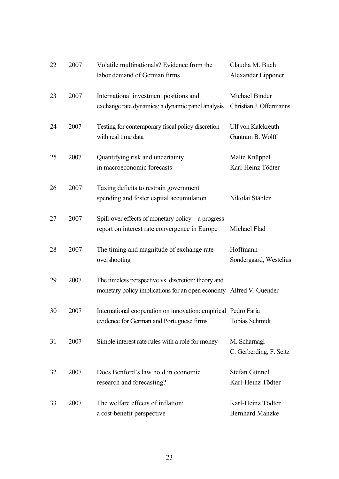| 22 | 2007 | Volatile multinationals? Evidence from the<br>labor demand of German firms                                                | Claudia M. Buch<br>Alexander Lipponer       |
|----|------|---------------------------------------------------------------------------------------------------------------------------|---------------------------------------------|
| 23 | 2007 | International investment positions and<br>exchange rate dynamics: a dynamic panel analysis                                | Michael Binder<br>Christian J. Offermanns   |
| 24 | 2007 | Testing for contemporary fiscal policy discretion<br>with real time data                                                  | Ulf von Kalckreuth<br>Guntram B. Wolff      |
| 25 | 2007 | Quantifying risk and uncertainty<br>in macroeconomic forecasts                                                            | Malte Knüppel<br>Karl-Heinz Tödter          |
| 26 | 2007 | Taxing deficits to restrain government<br>spending and foster capital accumulation                                        | Nikolai Stähler                             |
| 27 | 2007 | Spill-over effects of monetary policy $-$ a progress<br>report on interest rate convergence in Europe                     | Michael Flad                                |
| 28 | 2007 | The timing and magnitude of exchange rate<br>overshooting                                                                 | Hoffmann<br>Sondergaard, Westelius          |
| 29 | 2007 | The timeless perspective vs. discretion: theory and<br>monetary policy implications for an open economy Alfred V. Guender |                                             |
| 30 | 2007 | International cooperation on innovation: empirical Pedro Faria<br>evidence for German and Portuguese firms                | <b>Tobias Schmidt</b>                       |
| 31 | 2007 | Simple interest rate rules with a role for money                                                                          | M. Scharnagl<br>C. Gerberding, F. Seitz     |
| 32 | 2007 | Does Benford's law hold in economic<br>research and forecasting?                                                          | Stefan Günnel<br>Karl-Heinz Tödter          |
| 33 | 2007 | The welfare effects of inflation:<br>a cost-benefit perspective                                                           | Karl-Heinz Tödter<br><b>Bernhard Manzke</b> |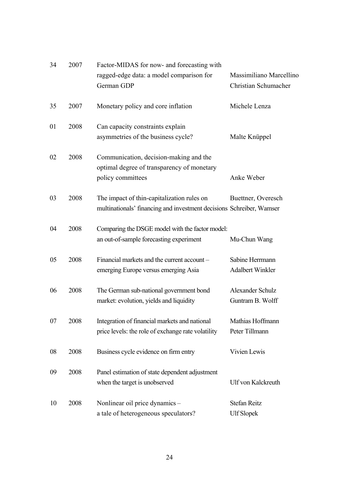| 34 | 2007 | Factor-MIDAS for now- and forecasting with                                                                         |                                                 |
|----|------|--------------------------------------------------------------------------------------------------------------------|-------------------------------------------------|
|    |      | ragged-edge data: a model comparison for<br>German GDP                                                             | Massimiliano Marcellino<br>Christian Schumacher |
| 35 | 2007 | Monetary policy and core inflation                                                                                 | Michele Lenza                                   |
| 01 | 2008 | Can capacity constraints explain<br>asymmetries of the business cycle?                                             | Malte Knüppel                                   |
| 02 | 2008 | Communication, decision-making and the<br>optimal degree of transparency of monetary<br>policy committees          | Anke Weber                                      |
| 03 | 2008 | The impact of thin-capitalization rules on<br>multinationals' financing and investment decisions Schreiber, Wamser | Buettner, Overesch                              |
| 04 | 2008 | Comparing the DSGE model with the factor model:<br>an out-of-sample forecasting experiment                         | Mu-Chun Wang                                    |
| 05 | 2008 | Financial markets and the current account -<br>emerging Europe versus emerging Asia                                | Sabine Herrmann<br><b>Adalbert Winkler</b>      |
| 06 | 2008 | The German sub-national government bond<br>market: evolution, yields and liquidity                                 | Alexander Schulz<br>Guntram B. Wolff            |
| 07 | 2008 | Integration of financial markets and national<br>price levels: the role of exchange rate volatility                | Mathias Hoffmann<br>Peter Tillmann              |
| 08 | 2008 | Business cycle evidence on firm entry                                                                              | Vivien Lewis                                    |
| 09 | 2008 | Panel estimation of state dependent adjustment<br>when the target is unobserved                                    | Ulf von Kalckreuth                              |
| 10 | 2008 | Nonlinear oil price dynamics -<br>a tale of heterogeneous speculators?                                             | Stefan Reitz<br><b>Ulf Slopek</b>               |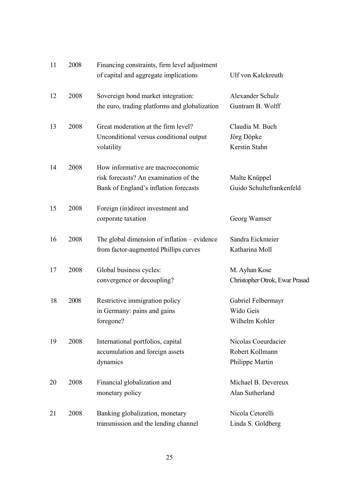| 11 | 2008 | Financing constraints, firm level adjustment<br>of capital and aggregate implications                               | Ulf von Kalckreuth                                        |
|----|------|---------------------------------------------------------------------------------------------------------------------|-----------------------------------------------------------|
| 12 | 2008 | Sovereign bond market integration:<br>the euro, trading platforms and globalization                                 | Alexander Schulz<br>Guntram B. Wolff                      |
| 13 | 2008 | Great moderation at the firm level?<br>Unconditional versus conditional output<br>volatility                        | Claudia M. Buch<br>Jörg Döpke<br>Kerstin Stahn            |
| 14 | 2008 | How informative are macroeconomic<br>risk forecasts? An examination of the<br>Bank of England's inflation forecasts | Malte Knüppel<br>Guido Schultefrankenfeld                 |
| 15 | 2008 | Foreign (in)direct investment and<br>corporate taxation                                                             | Georg Wamser                                              |
| 16 | 2008 | The global dimension of inflation – evidence<br>from factor-augmented Phillips curves                               | Sandra Eickmeier<br>Katharina Moll                        |
| 17 | 2008 | Global business cycles:<br>convergence or decoupling?                                                               | M. Ayhan Kose<br>Christopher Otrok, Ewar Prasad           |
| 18 | 2008 | Restrictive immigration policy<br>in Germany: pains and gains<br>foregone?                                          | Gabriel Felbermayr<br>Wido Geis<br>Wilhelm Kohler         |
| 19 | 2008 | International portfolios, capital<br>accumulation and foreign assets<br>dynamics                                    | Nicolas Coeurdacier<br>Robert Kollmann<br>Philippe Martin |
| 20 | 2008 | Financial globalization and<br>monetary policy                                                                      | Michael B. Devereux<br>Alan Sutherland                    |
| 21 | 2008 | Banking globalization, monetary<br>transmission and the lending channel                                             | Nicola Cetorelli<br>Linda S. Goldberg                     |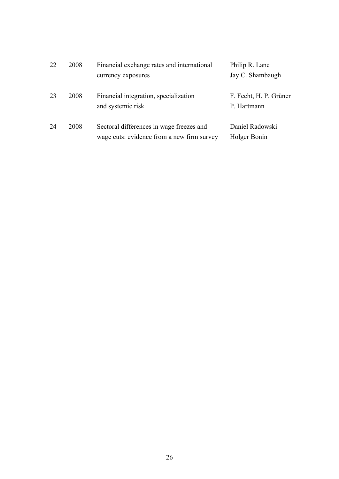| 22 | 2008 | Financial exchange rates and international                                             | Philip R. Lane                        |
|----|------|----------------------------------------------------------------------------------------|---------------------------------------|
|    |      | currency exposures                                                                     | Jay C. Shambaugh                      |
| 23 | 2008 | Financial integration, specialization<br>and systemic risk                             | F. Fecht, H. P. Grüner<br>P. Hartmann |
| 24 | 2008 | Sectoral differences in wage freezes and<br>wage cuts: evidence from a new firm survey | Daniel Radowski<br>Holger Bonin       |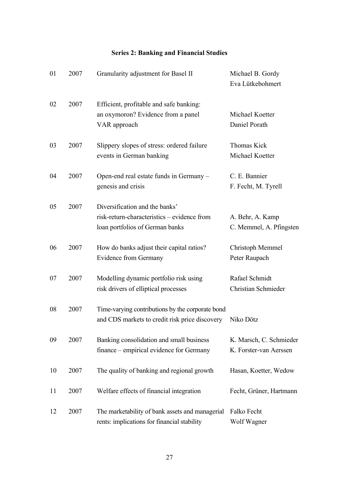## **Series 2: Banking and Financial Studies**

| 01 | 2007 | Granularity adjustment for Basel II                                                                              | Michael B. Gordy<br>Eva Lütkebohmert              |
|----|------|------------------------------------------------------------------------------------------------------------------|---------------------------------------------------|
| 02 | 2007 | Efficient, profitable and safe banking:<br>an oxymoron? Evidence from a panel<br>VAR approach                    | Michael Koetter<br>Daniel Porath                  |
| 03 | 2007 | Slippery slopes of stress: ordered failure<br>events in German banking                                           | Thomas Kick<br>Michael Koetter                    |
| 04 | 2007 | Open-end real estate funds in Germany -<br>genesis and crisis                                                    | C. E. Bannier<br>F. Fecht, M. Tyrell              |
| 05 | 2007 | Diversification and the banks'<br>risk-return-characteristics – evidence from<br>loan portfolios of German banks | A. Behr, A. Kamp<br>C. Memmel, A. Pfingsten       |
| 06 | 2007 | How do banks adjust their capital ratios?<br><b>Evidence from Germany</b>                                        | Christoph Memmel<br>Peter Raupach                 |
| 07 | 2007 | Modelling dynamic portfolio risk using<br>risk drivers of elliptical processes                                   | Rafael Schmidt<br>Christian Schmieder             |
| 08 | 2007 | Time-varying contributions by the corporate bond<br>and CDS markets to credit risk price discovery               | Niko Dötz                                         |
| 09 | 2007 | Banking consolidation and small business<br>finance – empirical evidence for Germany                             | K. Marsch, C. Schmieder<br>K. Forster-van Aerssen |
| 10 | 2007 | The quality of banking and regional growth                                                                       | Hasan, Koetter, Wedow                             |
| 11 | 2007 | Welfare effects of financial integration                                                                         | Fecht, Grüner, Hartmann                           |
| 12 | 2007 | The marketability of bank assets and managerial<br>rents: implications for financial stability                   | Falko Fecht<br>Wolf Wagner                        |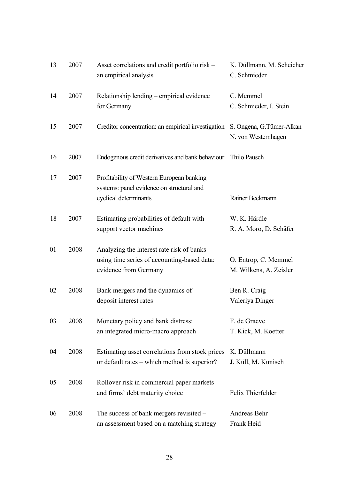| 13 | 2007 | Asset correlations and credit portfolio risk –<br>an empirical analysis                                           | K. Düllmann, M. Scheicher<br>C. Schmieder        |
|----|------|-------------------------------------------------------------------------------------------------------------------|--------------------------------------------------|
| 14 | 2007 | Relationship lending – empirical evidence<br>for Germany                                                          | C. Memmel<br>C. Schmieder, I. Stein              |
| 15 | 2007 | Creditor concentration: an empirical investigation                                                                | S. Ongena, G. Tümer-Alkan<br>N. von Westernhagen |
| 16 | 2007 | Endogenous credit derivatives and bank behaviour                                                                  | Thilo Pausch                                     |
| 17 | 2007 | Profitability of Western European banking<br>systems: panel evidence on structural and<br>cyclical determinants   | Rainer Beckmann                                  |
| 18 | 2007 | Estimating probabilities of default with<br>support vector machines                                               | W. K. Härdle<br>R. A. Moro, D. Schäfer           |
| 01 | 2008 | Analyzing the interest rate risk of banks<br>using time series of accounting-based data:<br>evidence from Germany | O. Entrop, C. Memmel<br>M. Wilkens, A. Zeisler   |
| 02 | 2008 | Bank mergers and the dynamics of<br>deposit interest rates                                                        | Ben R. Craig<br>Valeriya Dinger                  |
| 03 | 2008 | Monetary policy and bank distress:<br>an integrated micro-macro approach                                          | F. de Graeve<br>T. Kick, M. Koetter              |
| 04 | 2008 | Estimating asset correlations from stock prices<br>or default rates – which method is superior?                   | K. Düllmann<br>J. Küll, M. Kunisch               |
| 05 | 2008 | Rollover risk in commercial paper markets<br>and firms' debt maturity choice                                      | Felix Thierfelder                                |
| 06 | 2008 | The success of bank mergers revisited –<br>an assessment based on a matching strategy                             | Andreas Behr<br>Frank Heid                       |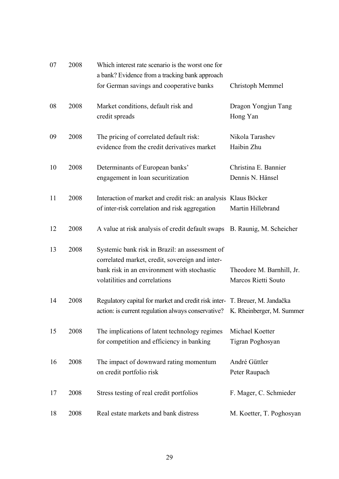| 07 | 2008 | Which interest rate scenario is the worst one for<br>a bank? Evidence from a tracking bank approach                                                                               |                                                  |
|----|------|-----------------------------------------------------------------------------------------------------------------------------------------------------------------------------------|--------------------------------------------------|
|    |      | for German savings and cooperative banks                                                                                                                                          | Christoph Memmel                                 |
| 08 | 2008 | Market conditions, default risk and<br>credit spreads                                                                                                                             | Dragon Yongjun Tang<br>Hong Yan                  |
| 09 | 2008 | The pricing of correlated default risk:<br>evidence from the credit derivatives market                                                                                            | Nikola Tarashev<br>Haibin Zhu                    |
| 10 | 2008 | Determinants of European banks'<br>engagement in loan securitization                                                                                                              | Christina E. Bannier<br>Dennis N. Hänsel         |
| 11 | 2008 | Interaction of market and credit risk: an analysis Klaus Böcker<br>of inter-risk correlation and risk aggregation                                                                 | Martin Hillebrand                                |
| 12 | 2008 | A value at risk analysis of credit default swaps B. Raunig, M. Scheicher                                                                                                          |                                                  |
| 13 | 2008 | Systemic bank risk in Brazil: an assessment of<br>correlated market, credit, sovereign and inter-<br>bank risk in an environment with stochastic<br>volatilities and correlations | Theodore M. Barnhill, Jr.<br>Marcos Rietti Souto |
| 14 | 2008 | Regulatory capital for market and credit risk inter- T. Breuer, M. Jandačka<br>action: is current regulation always conservative? K. Rheinberger, M. Summer                       |                                                  |
| 15 | 2008 | The implications of latent technology regimes<br>for competition and efficiency in banking                                                                                        | Michael Koetter<br>Tigran Poghosyan              |
| 16 | 2008 | The impact of downward rating momentum<br>on credit portfolio risk                                                                                                                | André Güttler<br>Peter Raupach                   |
| 17 | 2008 | Stress testing of real credit portfolios                                                                                                                                          | F. Mager, C. Schmieder                           |
| 18 | 2008 | Real estate markets and bank distress                                                                                                                                             | M. Koetter, T. Poghosyan                         |